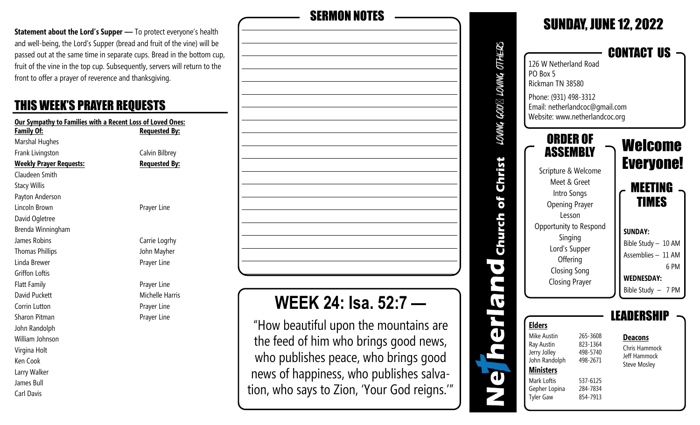**Statement about the Lord's Supper** - To protect everyone's health and well-being, the Lord's Supper (bread and fruit of the vine) will be passed out at the same time in separate cups. Bread in the bottom cup, fruit of the vine in the top cup. Subsequently, servers will return to the front to offer a prayer of reverence and thanksgiving.

#### THIS WEEK'S PRAYER REQUESTS

| <b>Our Sympathy to Families with a Recent Loss of Loved Ones:</b> |                        |  |  |
|-------------------------------------------------------------------|------------------------|--|--|
| <b>Family Of:</b>                                                 | <b>Requested By:</b>   |  |  |
| Marshal Hughes                                                    |                        |  |  |
| Frank Livingston                                                  | Calvin Bilbrey         |  |  |
| <b>Weekly Prayer Requests:</b>                                    | <b>Requested By:</b>   |  |  |
| Claudeen Smith                                                    |                        |  |  |
| <b>Stacy Willis</b>                                               |                        |  |  |
| Payton Anderson                                                   |                        |  |  |
| Lincoln Brown                                                     | Prayer Line            |  |  |
| David Ogletree                                                    |                        |  |  |
| Brenda Winningham                                                 |                        |  |  |
| James Robins                                                      | Carrie Logrhy          |  |  |
| <b>Thomas Phillips</b>                                            | John Mayher            |  |  |
| Linda Brewer                                                      | Prayer Line            |  |  |
| <b>Griffon Loftis</b>                                             |                        |  |  |
| <b>Flatt Family</b>                                               | Prayer Line            |  |  |
| David Puckett                                                     | <b>Michelle Harris</b> |  |  |
| Corrin Lutton                                                     | Prayer Line            |  |  |
| Sharon Pitman                                                     | Prayer Line            |  |  |
| John Randolph                                                     |                        |  |  |
| William Johnson                                                   |                        |  |  |
| Virgina Holt                                                      |                        |  |  |
| Ken Cook                                                          |                        |  |  |
| Larry Walker                                                      |                        |  |  |
| James Bull                                                        |                        |  |  |
| Carl Davis                                                        |                        |  |  |

| <b>SERMON NOTES</b>                   |  |
|---------------------------------------|--|
|                                       |  |
|                                       |  |
|                                       |  |
|                                       |  |
|                                       |  |
|                                       |  |
|                                       |  |
|                                       |  |
|                                       |  |
|                                       |  |
|                                       |  |
|                                       |  |
|                                       |  |
|                                       |  |
|                                       |  |
|                                       |  |
| <b>WEEK 24: Isa. 52:7 ---</b>         |  |
| "How beautiful upon the mountains are |  |

"How beautiful upon the mountains are the feed of him who brings good news, who publishes peace, who brings good news of happiness, who publishes salvation, who says to Zion, 'Your God reigns.'"

| DWMG GOD $\boxtimes$ LOWMG OTHER     | 126 W Netherland Road<br>PO Box 5<br>Rickman TN 38580<br>Phone: (931) 498-3312<br>Email: netherlandcoc@gmail.com<br>Website: www.netherlandcoc.org                                                                              |                                                                                  | <b>CONTACT US</b>                                                                                                                                                        |
|--------------------------------------|---------------------------------------------------------------------------------------------------------------------------------------------------------------------------------------------------------------------------------|----------------------------------------------------------------------------------|--------------------------------------------------------------------------------------------------------------------------------------------------------------------------|
| is<br>Filter<br><b>PHILIP REPAIR</b> | ORDER OF<br>ASSEMBLY<br>Scripture & Welcome<br>Meet & Greet<br>Intro Songs<br><b>Opening Prayer</b><br>Lesson<br>Opportunity to Respond<br>Singing<br>Lord's Supper<br>Offering<br><b>Closing Song</b><br><b>Closing Prayer</b> |                                                                                  | Welcome<br><b>Everyone!</b><br>MEETING<br><b>TIMES</b><br><b>SUNDAY:</b><br>Bible Study - 10 AM<br>Assemblies - 11 AM<br>6 PM<br><b>WEDNESDAY:</b><br>Bible Study - 7 PM |
| T                                    | <b>Elders</b><br>Mike Austin<br>Ray Austin<br>Jerry Jolley<br>John Randolph<br><b>Ministers</b><br>Mark Loftis<br>Gepher Lopina<br><b>Tyler Gaw</b>                                                                             | 265-3608<br>823-1364<br>498-5740<br>498-2671<br>537-6125<br>284-7834<br>854-7913 | DEBSH<br><b>Deacons</b><br>Chris Hammock<br>Jeff Hammock<br><b>Steve Mosley</b>                                                                                          |

SUNDAY, JUNE 12, 2022